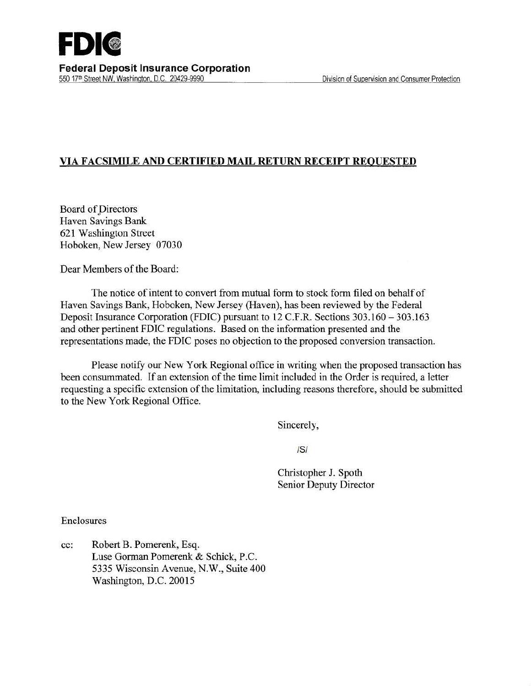

## VIA FACSIMILE AND CERTIFIED MAIL RETURN RECEIPT REQUESTED

Board of Directors Haven Savings Bank 621 Washington Street Hoboken, New Jersey 07030

Dear Members of the Board:

The notice of intent to convert from mutual form to stock form filed on behalf of Haven Savings Bank, Hoboken, New Jersey (Haven), has been reviewed by the Federal Deposit Insurance Corporation (FDIC) pursuant to 12 C.F.R. Sections 303.160 - 303.163 and other pertinent FDIC regulations. Based on the information presented and the representations made, the FDIC poses no objection to the proposed conversion transaction.

Please notify our New York Regional office in writing when the proposed transaction has been consummated. If an extension of the time limit included in the Order is required, a letter requesting a specific extension of the limitation, including reasons therefore, should be submitted to the New York Regional Office.

Sincerely,

IS/

Christopher J. Spoth Senior Deputy Director

Enclosures

cc: Robert B. Pomerenk, Esq. Luse Gorman Pomerenk & Schick, P.C. 5335 Wisconsin Avenue, N.W., Suite 400 Washington, D.C. 20015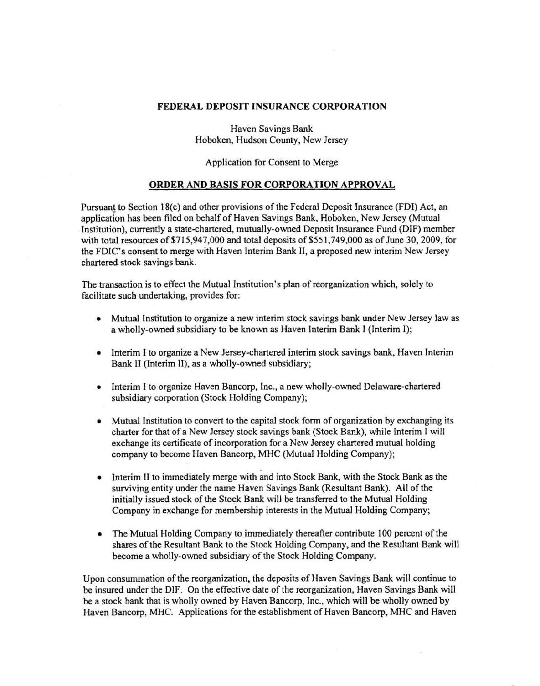## FEDERAL DEPOSIT INSURANCE CORPORATION

Haven Savings Bank Hoboken, Hudson County, New Jersey

Application for Consent to Merge

## ORDER AND BASIS FOR CORPORATION APPROVAL

Pursuant to Section 18(c) and other provisions of the Federal Deposit Insurance (FDI) Act, an application has been filed on behalf of Haven Savings Bank, Hoboken, New Jersey (Mutual Institution), currently a state-chartered, mutually-owned Deposit Insurance Fund (DIF) member with total resources of \$715,947,000 and total deposits of \$551,749,000 as of June 30, 2009, for the FDIC's consent to merge with Haven Interim Bank II, a proposed new interim New Jersey chartered.stock savings bank.

The transaction is to effect the Mutual Institution's plan of reorganization which, solely to facilitate such undertaking, provides for:

- Mutual Institution to organize a new interim stock savings bank under New Jersey law as a wholly-owned subsidiary to be known as Haven Interim Bank I (Interim I);
- Interim I to organize a New Jersey-chartered interim stock savings bank, Haven Interim Bank II (Interim II), as a wholly-owned subsidiary;
- Interim I to organize Haven Bancorp, Inc., a new wholly-owned Delaware-chartered subsidiary corporation (Stock Holding Company);
- Mutual Institution to convert to the capital stock form of organization by exchanging its charter for that of a New Jersey stock savings bank (Stock Bank), while Interim I will exchange its certificate of incorporation for a New Jersey chartered mutual holding company to become Haven Bancorp, MHC (Mutual Holding Company);
- Interim II to immediately merge with and into Stock Bank, with the Stock Bank as the surviving entity under the name Haven Savings Bank (Resultant Bank). All of the initially issued stock of the Stock Bank will be transferred to the Mutual Holding Company in exchange for membership interests in the Mutual Holding Company;
- The Mutual Holding Company to immediately thereafter contribute 100 percent of the shares of the Resultant Bank to the Stock Holding Company, and the Resultant Bank will become a wholly-owned subsidiary of the Stock Holding Company.

Upon consummation of the reorganization, the deposits of Haven Savings Bank will continue to be insured under the DIF. On the effective date of the reorganization, Haven Savings Bank will be a stock bank that is wholly owned by Haven Bancorp, Inc., which will be wholly owned by Haven Bancorp, MHC. Applications for the establishment of Haven Bancorp, MHC and Haven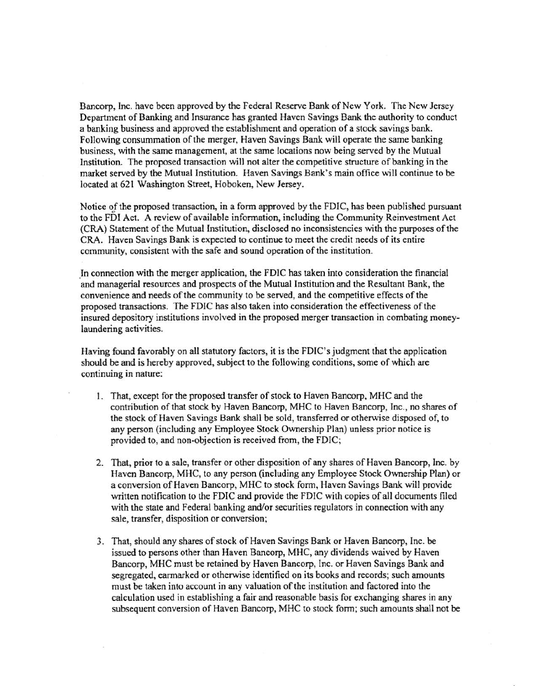Bancorp, Inc. have been approved by the Federal Reserve Bank of New York. The New Jersey Department of Banking and Insurance has granted Haven Savings Bank the authority to conduct a banking business and approved the establishment and operation of a stock savings bank. Following consummation of the merger, Haven Savings Bank will operate the same banking business, with the same management, at the same locations now being served by the Mutual Institution. The proposed transaction will not alter the competitive structure of banking in the market served by the Mutual Institution. Haven Savings Bank's main office will continue to be located at 621 Washington Street, Hoboken, New Jersey.

Notice of the proposed transaction, in a form approved by the FDIC, has been published pursuant to the FDI Act. A review of available information, including the Community Reinvestment Act (CRA) Statement of the Mutual Institution, disclosed no inconsistencies with the purposes of the CRA. Haven Savings Bank is expected to continue to meet the credit needs of its entire community, consistent with the safe and sound operation of the institution.

In connection with the merger application, the FDIC has taken into consideration the financial and managerial resources and prospects of the Mutual Institution and the Resultant Bank, the convenience and needs of the community to be served, and the competitive effects of the proposed transactions. The FDIC has also taken into consideration the effectiveness of the insured depository institutions involved in the proposed merger transaction in combating moneylaundering activities.

Having found favorably on all statutory factors, it is the FDIC's judgment that the application should be and is hereby approved, subject to the following conditions, some of which are continuing in nature:

- I. That, except for the proposed transfer of stock to Haven Bancorp, MHC and the contribution of that stock by Haven Bancorp, MHC to Haven Bancorp, Inc., no shares of the stock of Haven Savings Bank shall be sold, transferred or otherwise disposed of, to any person (including any Employee Stock Ownership Plan) unless prior notice is provided to, and non-objection is received from, the FDIC;
- 2. That, prior to a sale, transfer or other disposition of any shares of Haven Bancorp, Inc. by Haven Bancorp, MHC, to any person (including any Employee Stock Ownership Plan) or a conversion of Haven Bancorp, MHC to stock form, Haven Savings Bank will provide written notification to the FDIC and provide the FDIC with copies of all documents filed with the state and Federal banking and/or securities regulators in connection with any sale, transfer, disposition or conversion;
- 3. That, should any shares of stock of Haven Savings Bank or Haven Bancorp, Inc. be issued to persons other than Haven Bancorp, MHC, any dividends waived by Haven Bancorp, MHC must be retained by Haven Bancorp, Inc. or Haven Savings Bank and segregated, earmarked or otherwise identified on its books and records; such amounts must be taken into account in any valuation of the institution and factored into the calculation used in establishing a fair and reasonable basis for exchanging shares in any subsequent conversion of Haven Bancorp, MHC to stock form; such amounts shall not be